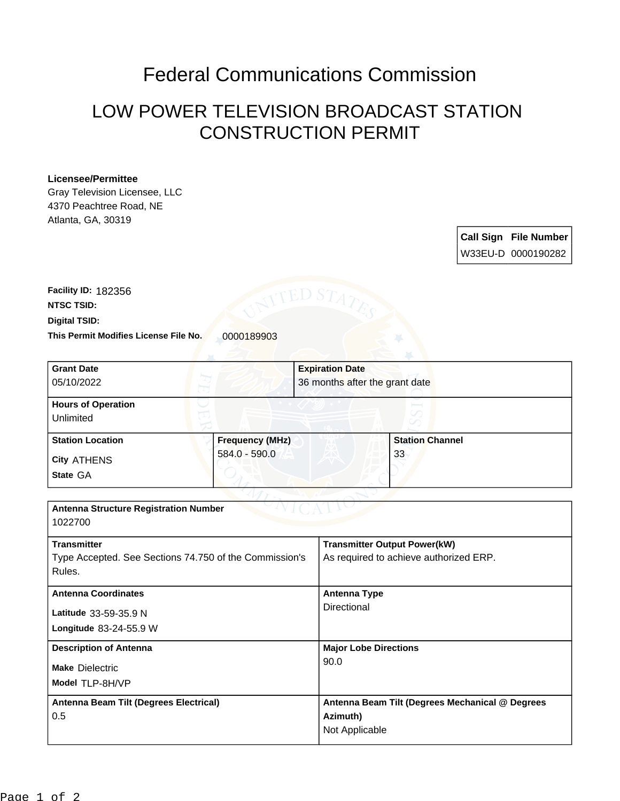## Federal Communications Commission

## LOW POWER TELEVISION BROADCAST STATION CONSTRUCTION PERMIT

## **Licensee/Permittee**

Gray Television Licensee, LLC 4370 Peachtree Road, NE Atlanta, GA, 30319

> **Call Sign File Number** W33EU-D 0000190282

This Permit Modifies License File No. 0000189903 **Digital TSID: NTSC TSID: Facility ID:** 182356

| <b>Grant Date</b>                                      |                        | <b>Expiration Date</b>                                      |  |
|--------------------------------------------------------|------------------------|-------------------------------------------------------------|--|
| 05/10/2022                                             |                        | 36 months after the grant date                              |  |
| <b>Hours of Operation</b>                              |                        |                                                             |  |
| Unlimited                                              |                        |                                                             |  |
| <b>Station Location</b>                                | <b>Frequency (MHz)</b> | <b>Station Channel</b>                                      |  |
| City ATHENS                                            | $584.0 - 590.0$        | 33                                                          |  |
| State GA                                               |                        |                                                             |  |
|                                                        |                        |                                                             |  |
| <b>Antenna Structure Registration Number</b>           |                        |                                                             |  |
| 1022700                                                |                        |                                                             |  |
| <b>Transmitter</b>                                     |                        | <b>Transmitter Output Power(kW)</b>                         |  |
| Type Accepted. See Sections 74.750 of the Commission's |                        | As required to achieve authorized ERP.                      |  |
| Rules.                                                 |                        |                                                             |  |
| <b>Antenna Coordinates</b>                             |                        | <b>Antenna Type</b>                                         |  |
| Latitude 33-59-35.9 N                                  |                        | Directional                                                 |  |
| Longitude 83-24-55.9 W                                 |                        |                                                             |  |
| <b>Description of Antenna</b>                          |                        | <b>Major Lobe Directions</b>                                |  |
| <b>Make Dielectric</b>                                 |                        | 90.0                                                        |  |
| Model TLP-8H/VP                                        |                        |                                                             |  |
|                                                        |                        |                                                             |  |
| Antenna Beam Tilt (Degrees Electrical)<br>0.5          |                        | Antenna Beam Tilt (Degrees Mechanical @ Degrees<br>Azimuth) |  |
|                                                        |                        | Not Applicable                                              |  |